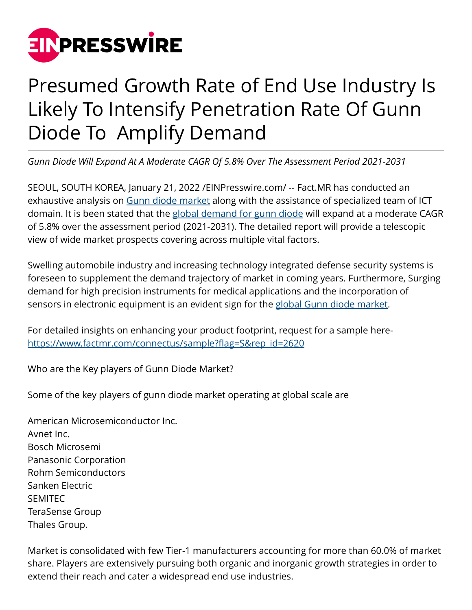

## Presumed Growth Rate of End Use Industry Is Likely To Intensify Penetration Rate Of Gunn Diode To Amplify Demand

*Gunn Diode Will Expand At A Moderate CAGR Of 5.8% Over The Assessment Period 2021-2031*

SEOUL, SOUTH KOREA, January 21, 2022 /[EINPresswire.com](http://www.einpresswire.com)/ -- Fact.MR has conducted an exhaustive analysis on [Gunn diode market](https://www.factmr.com/report/gunn-diode-market) along with the assistance of specialized team of ICT domain. It is been stated that the [global demand for gunn diode](https://www.factmr.com/report/gunn-diode-market) will expand at a moderate CAGR of 5.8% over the assessment period (2021-2031). The detailed report will provide a telescopic view of wide market prospects covering across multiple vital factors.

Swelling automobile industry and increasing technology integrated defense security systems is foreseen to supplement the demand trajectory of market in coming years. Furthermore, Surging demand for high precision instruments for medical applications and the incorporation of sensors in electronic equipment is an evident sign for the [global Gunn diode market](https://www.factmr.com/report/gunn-diode-market).

For detailed insights on enhancing your product footprint, request for a sample here[https://www.factmr.com/connectus/sample?flag=S&rep\\_id=2620](https://www.factmr.com/connectus/sample?flag=S&rep_id=2620)

Who are the Key players of Gunn Diode Market?

Some of the key players of gunn diode market operating at global scale are

American Microsemiconductor Inc. Avnet Inc. Bosch Microsemi Panasonic Corporation Rohm Semiconductors Sanken Electric SEMITEC TeraSense Group Thales Group.

Market is consolidated with few Tier-1 manufacturers accounting for more than 60.0% of market share. Players are extensively pursuing both organic and inorganic growth strategies in order to extend their reach and cater a widespread end use industries.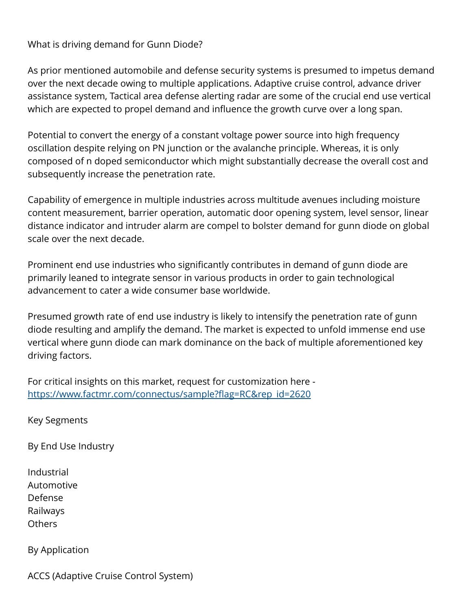What is driving demand for Gunn Diode?

As prior mentioned automobile and defense security systems is presumed to impetus demand over the next decade owing to multiple applications. Adaptive cruise control, advance driver assistance system, Tactical area defense alerting radar are some of the crucial end use vertical which are expected to propel demand and influence the growth curve over a long span.

Potential to convert the energy of a constant voltage power source into high frequency oscillation despite relying on PN junction or the avalanche principle. Whereas, it is only composed of n doped semiconductor which might substantially decrease the overall cost and subsequently increase the penetration rate.

Capability of emergence in multiple industries across multitude avenues including moisture content measurement, barrier operation, automatic door opening system, level sensor, linear distance indicator and intruder alarm are compel to bolster demand for gunn diode on global scale over the next decade.

Prominent end use industries who significantly contributes in demand of gunn diode are primarily leaned to integrate sensor in various products in order to gain technological advancement to cater a wide consumer base worldwide.

Presumed growth rate of end use industry is likely to intensify the penetration rate of gunn diode resulting and amplify the demand. The market is expected to unfold immense end use vertical where gunn diode can mark dominance on the back of multiple aforementioned key driving factors.

For critical insights on this market, request for customization here [https://www.factmr.com/connectus/sample?flag=RC&rep\\_id=2620](https://www.factmr.com/connectus/sample?flag=RC&rep_id=2620)

Key Segments

By End Use Industry

Industrial Automotive Defense Railways **Others** 

By Application

ACCS (Adaptive Cruise Control System)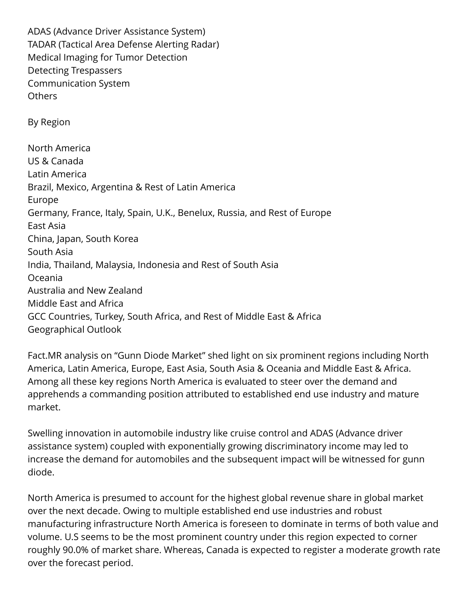ADAS (Advance Driver Assistance System) TADAR (Tactical Area Defense Alerting Radar) Medical Imaging for Tumor Detection Detecting Trespassers Communication System Others By Region North America US & Canada Latin America Brazil, Mexico, Argentina & Rest of Latin America Europe Germany, France, Italy, Spain, U.K., Benelux, Russia, and Rest of Europe East Asia China, Japan, South Korea South Asia India, Thailand, Malaysia, Indonesia and Rest of South Asia Oceania Australia and New Zealand Middle East and Africa GCC Countries, Turkey, South Africa, and Rest of Middle East & Africa Geographical Outlook

Fact.MR analysis on "Gunn Diode Market" shed light on six prominent regions including North America, Latin America, Europe, East Asia, South Asia & Oceania and Middle East & Africa. Among all these key regions North America is evaluated to steer over the demand and apprehends a commanding position attributed to established end use industry and mature market.

Swelling innovation in automobile industry like cruise control and ADAS (Advance driver assistance system) coupled with exponentially growing discriminatory income may led to increase the demand for automobiles and the subsequent impact will be witnessed for gunn diode.

North America is presumed to account for the highest global revenue share in global market over the next decade. Owing to multiple established end use industries and robust manufacturing infrastructure North America is foreseen to dominate in terms of both value and volume. U.S seems to be the most prominent country under this region expected to corner roughly 90.0% of market share. Whereas, Canada is expected to register a moderate growth rate over the forecast period.